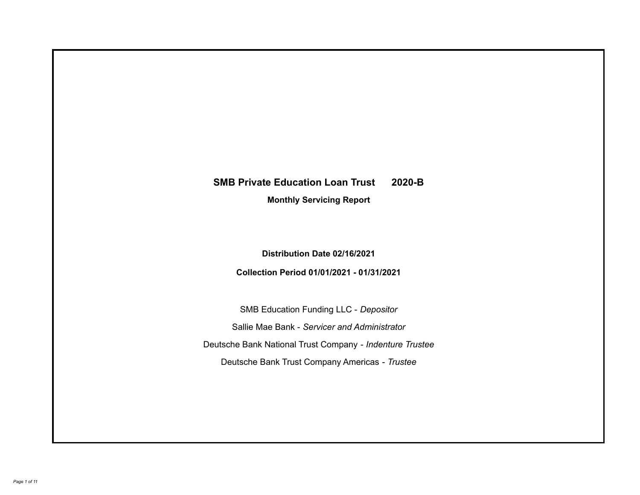# **SMB Private Education Loan Trust 2020-B**

**Monthly Servicing Report**

**Distribution Date 02/16/2021**

**Collection Period 01/01/2021 - 01/31/2021**

SMB Education Funding LLC - *Depositor* Sallie Mae Bank - *Servicer and Administrator* Deutsche Bank National Trust Company - *Indenture Trustee* Deutsche Bank Trust Company Americas - *Trustee*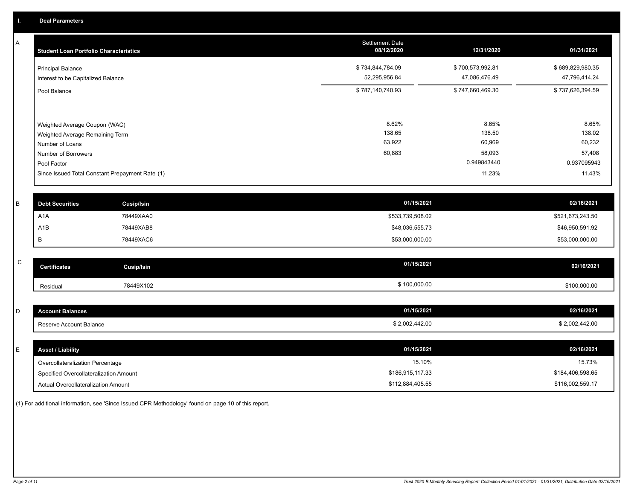A

| <b>Student Loan Portfolio Characteristics</b>                                                              | <b>Settlement Date</b><br>08/12/2020 | 12/31/2020                          | 01/31/2021                          |
|------------------------------------------------------------------------------------------------------------|--------------------------------------|-------------------------------------|-------------------------------------|
| <b>Principal Balance</b><br>Interest to be Capitalized Balance                                             | \$734,844,784.09<br>52,295,956.84    | \$700,573,992.81<br>47,086,476.49   | \$689,829,980.35<br>47,796,414.24   |
| Pool Balance                                                                                               | \$787,140,740.93                     | \$747,660,469.30                    | \$737,626,394.59                    |
| Weighted Average Coupon (WAC)<br>Weighted Average Remaining Term<br>Number of Loans<br>Number of Borrowers | 8.62%<br>138.65<br>63,922<br>60,883  | 8.65%<br>138.50<br>60,969<br>58,093 | 8.65%<br>138.02<br>60,232<br>57,408 |
| Pool Factor                                                                                                |                                      | 0.949843440                         | 0.937095943                         |
| Since Issued Total Constant Prepayment Rate (1)                                                            |                                      | 11.23%                              | 11.43%                              |

| <b>Debt Securities</b> | <b>Cusip/Isin</b> | 01/15/2021       | 02/16/2021       |
|------------------------|-------------------|------------------|------------------|
| A <sub>1</sub> A       | 78449XAA0         | \$533,739,508.02 | \$521,673,243.50 |
| A1B                    | 78449XAB8         | \$48,036,555.73  | \$46,950,591.92  |
|                        | 78449XAC6         | \$53,000,000.00  | \$53,000,000.00  |

| $\sim$<br>◡ | <b>Certificates</b> | Cusip/Isin | 01/15/2021   | 02/16/2021   |
|-------------|---------------------|------------|--------------|--------------|
|             | Residual            | 78449X102  | \$100,000.00 | \$100,000.00 |

| <b>Account Balances</b> | 01/15/2021     | 02/16/2021     |
|-------------------------|----------------|----------------|
| Reserve Account Balance | \$2,002,442.00 | \$2,002,442.00 |

| <b>Asset / Liability</b>               | 01/15/2021       | 02/16/2021       |
|----------------------------------------|------------------|------------------|
| Overcollateralization Percentage       | 15.10%           | 15.73%           |
| Specified Overcollateralization Amount | \$186,915,117.33 | \$184,406,598.65 |
| Actual Overcollateralization Amount    | \$112,884,405.55 | \$116,002,559.17 |

(1) For additional information, see 'Since Issued CPR Methodology' found on page 10 of this report.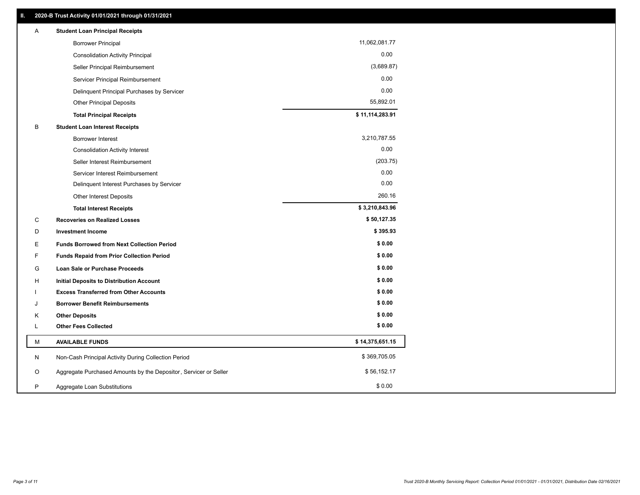| Α | <b>Student Loan Principal Receipts</b>                           |                 |
|---|------------------------------------------------------------------|-----------------|
|   | <b>Borrower Principal</b>                                        | 11,062,081.77   |
|   | <b>Consolidation Activity Principal</b>                          | 0.00            |
|   | Seller Principal Reimbursement                                   | (3,689.87)      |
|   | Servicer Principal Reimbursement                                 | 0.00            |
|   | Delinquent Principal Purchases by Servicer                       | 0.00            |
|   | Other Principal Deposits                                         | 55,892.01       |
|   | <b>Total Principal Receipts</b>                                  | \$11,114,283.91 |
| B | <b>Student Loan Interest Receipts</b>                            |                 |
|   | <b>Borrower Interest</b>                                         | 3,210,787.55    |
|   | <b>Consolidation Activity Interest</b>                           | 0.00            |
|   | Seller Interest Reimbursement                                    | (203.75)        |
|   | Servicer Interest Reimbursement                                  | 0.00            |
|   | Delinquent Interest Purchases by Servicer                        | 0.00            |
|   | Other Interest Deposits                                          | 260.16          |
|   | <b>Total Interest Receipts</b>                                   | \$3,210,843.96  |
| C | <b>Recoveries on Realized Losses</b>                             | \$50,127.35     |
| D | <b>Investment Income</b>                                         | \$395.93        |
| Е | <b>Funds Borrowed from Next Collection Period</b>                | \$0.00          |
| F | <b>Funds Repaid from Prior Collection Period</b>                 | \$0.00          |
| G | <b>Loan Sale or Purchase Proceeds</b>                            | \$0.00          |
| н | Initial Deposits to Distribution Account                         | \$0.00          |
|   | <b>Excess Transferred from Other Accounts</b>                    | \$0.00          |
| J | <b>Borrower Benefit Reimbursements</b>                           | \$0.00          |
| Κ | <b>Other Deposits</b>                                            | \$0.00          |
| L | <b>Other Fees Collected</b>                                      | \$0.00          |
| М | <b>AVAILABLE FUNDS</b>                                           | \$14,375,651.15 |
| N | Non-Cash Principal Activity During Collection Period             | \$369,705.05    |
| O | Aggregate Purchased Amounts by the Depositor, Servicer or Seller | \$56,152.17     |
| P | Aggregate Loan Substitutions                                     | \$0.00          |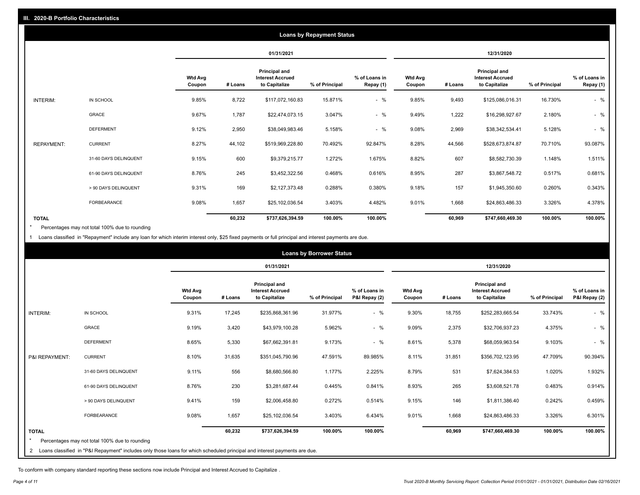|                   |                       |                          |         |                                                           | <b>Loans by Repayment Status</b> |                            |                          |         |                                                           |                |                            |
|-------------------|-----------------------|--------------------------|---------|-----------------------------------------------------------|----------------------------------|----------------------------|--------------------------|---------|-----------------------------------------------------------|----------------|----------------------------|
|                   |                       |                          |         | 01/31/2021                                                |                                  |                            |                          |         | 12/31/2020                                                |                |                            |
|                   |                       | <b>Wtd Avg</b><br>Coupon | # Loans | Principal and<br><b>Interest Accrued</b><br>to Capitalize | % of Principal                   | % of Loans in<br>Repay (1) | <b>Wtd Avg</b><br>Coupon | # Loans | Principal and<br><b>Interest Accrued</b><br>to Capitalize | % of Principal | % of Loans in<br>Repay (1) |
| INTERIM:          | IN SCHOOL             | 9.85%                    | 8,722   | \$117,072,160.83                                          | 15.871%                          | $-$ %                      | 9.85%                    | 9,493   | \$125,086,016.31                                          | 16.730%        | $-$ %                      |
|                   | GRACE                 | 9.67%                    | 1,787   | \$22,474,073.15                                           | 3.047%                           | $-$ %                      | 9.49%                    | 1,222   | \$16,298,927.67                                           | 2.180%         | $-$ %                      |
|                   | <b>DEFERMENT</b>      | 9.12%                    | 2,950   | \$38,049,983.46                                           | 5.158%                           | $-$ %                      | 9.08%                    | 2,969   | \$38,342,534.41                                           | 5.128%         | $-$ %                      |
| <b>REPAYMENT:</b> | <b>CURRENT</b>        | 8.27%                    | 44,102  | \$519,969,228.80                                          | 70.492%                          | 92.847%                    | 8.28%                    | 44,566  | \$528,673,874.87                                          | 70.710%        | 93.087%                    |
|                   | 31-60 DAYS DELINQUENT | 9.15%                    | 600     | \$9,379,215.77                                            | 1.272%                           | 1.675%                     | 8.82%                    | 607     | \$8,582,730.39                                            | 1.148%         | 1.511%                     |
|                   | 61-90 DAYS DELINQUENT | 8.76%                    | 245     | \$3,452,322.56                                            | 0.468%                           | 0.616%                     | 8.95%                    | 287     | \$3,867,548.72                                            | 0.517%         | 0.681%                     |
|                   | > 90 DAYS DELINQUENT  | 9.31%                    | 169     | \$2,127,373.48                                            | 0.288%                           | 0.380%                     | 9.18%                    | 157     | \$1,945,350.60                                            | 0.260%         | 0.343%                     |
|                   | FORBEARANCE           | 9.08%                    | 1,657   | \$25,102,036.54                                           | 3.403%                           | 4.482%                     | 9.01%                    | 1,668   | \$24,863,486.33                                           | 3.326%         | 4.378%                     |
| <b>TOTAL</b>      |                       |                          | 60,232  | \$737,626,394.59                                          | 100.00%                          | 100.00%                    |                          | 60,969  | \$747,660,469.30                                          | 100.00%        | 100.00%                    |

Percentages may not total 100% due to rounding \*

1 Loans classified in "Repayment" include any loan for which interim interest only, \$25 fixed payments or full principal and interest payments are due.

|                 |                                                                                                                              |                          |         |                                                           | <b>Loans by Borrower Status</b> |                                |                          |         |                                                                  |                |                                |
|-----------------|------------------------------------------------------------------------------------------------------------------------------|--------------------------|---------|-----------------------------------------------------------|---------------------------------|--------------------------------|--------------------------|---------|------------------------------------------------------------------|----------------|--------------------------------|
|                 |                                                                                                                              |                          |         | 01/31/2021                                                |                                 |                                |                          |         | 12/31/2020                                                       |                |                                |
|                 |                                                                                                                              | <b>Wtd Avg</b><br>Coupon | # Loans | Principal and<br><b>Interest Accrued</b><br>to Capitalize | % of Principal                  | % of Loans in<br>P&I Repay (2) | <b>Wtd Avg</b><br>Coupon | # Loans | <b>Principal and</b><br><b>Interest Accrued</b><br>to Capitalize | % of Principal | % of Loans in<br>P&I Repay (2) |
| <b>INTERIM:</b> | IN SCHOOL                                                                                                                    | 9.31%                    | 17,245  | \$235,868,361.96                                          | 31.977%                         | $-$ %                          | 9.30%                    | 18,755  | \$252,283,665.54                                                 | 33.743%        | $-$ %                          |
|                 | <b>GRACE</b>                                                                                                                 | 9.19%                    | 3,420   | \$43,979,100.28                                           | 5.962%                          | $-$ %                          | 9.09%                    | 2,375   | \$32,706,937.23                                                  | 4.375%         | $-$ %                          |
|                 | <b>DEFERMENT</b>                                                                                                             | 8.65%                    | 5,330   | \$67,662,391.81                                           | 9.173%                          | $-$ %                          | 8.61%                    | 5,378   | \$68,059,963.54                                                  | 9.103%         | $-$ %                          |
| P&I REPAYMENT:  | <b>CURRENT</b>                                                                                                               | 8.10%                    | 31,635  | \$351,045,790.96                                          | 47.591%                         | 89.985%                        | 8.11%                    | 31,851  | \$356,702,123.95                                                 | 47.709%        | 90.394%                        |
|                 | 31-60 DAYS DELINQUENT                                                                                                        | 9.11%                    | 556     | \$8,680,566.80                                            | 1.177%                          | 2.225%                         | 8.79%                    | 531     | \$7,624,384.53                                                   | 1.020%         | 1.932%                         |
|                 | 61-90 DAYS DELINQUENT                                                                                                        | 8.76%                    | 230     | \$3,281,687.44                                            | 0.445%                          | 0.841%                         | 8.93%                    | 265     | \$3,608,521.78                                                   | 0.483%         | 0.914%                         |
|                 | > 90 DAYS DELINQUENT                                                                                                         | 9.41%                    | 159     | \$2,006,458.80                                            | 0.272%                          | 0.514%                         | 9.15%                    | 146     | \$1,811,386.40                                                   | 0.242%         | 0.459%                         |
|                 | <b>FORBEARANCE</b>                                                                                                           | 9.08%                    | 1,657   | \$25,102,036.54                                           | 3.403%                          | 6.434%                         | 9.01%                    | 1,668   | \$24,863,486.33                                                  | 3.326%         | 6.301%                         |
| <b>TOTAL</b>    |                                                                                                                              |                          | 60,232  | \$737,626,394.59                                          | 100.00%                         | 100.00%                        |                          | 60,969  | \$747,660,469.30                                                 | 100.00%        | 100.00%                        |
|                 | Percentages may not total 100% due to rounding                                                                               |                          |         |                                                           |                                 |                                |                          |         |                                                                  |                |                                |
|                 | 2 Loans classified in "P&I Repayment" includes only those loans for which scheduled principal and interest payments are due. |                          |         |                                                           |                                 |                                |                          |         |                                                                  |                |                                |

To conform with company standard reporting these sections now include Principal and Interest Accrued to Capitalize .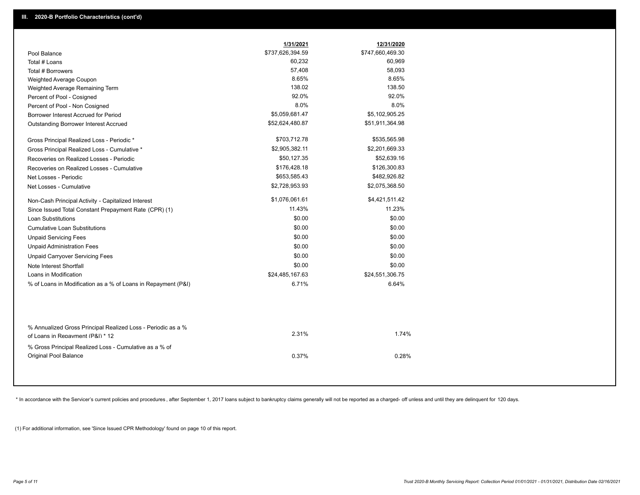|                                                                                                  | 1/31/2021        | 12/31/2020       |
|--------------------------------------------------------------------------------------------------|------------------|------------------|
| Pool Balance                                                                                     | \$737,626,394.59 | \$747,660,469.30 |
| Total # Loans                                                                                    | 60,232           | 60,969           |
| Total # Borrowers                                                                                | 57,408           | 58,093           |
| Weighted Average Coupon                                                                          | 8.65%            | 8.65%            |
| Weighted Average Remaining Term                                                                  | 138.02           | 138.50           |
| Percent of Pool - Cosigned                                                                       | 92.0%            | 92.0%            |
| Percent of Pool - Non Cosigned                                                                   | 8.0%             | 8.0%             |
| Borrower Interest Accrued for Period                                                             | \$5,059,681.47   | \$5,102,905.25   |
| Outstanding Borrower Interest Accrued                                                            | \$52,624,480.87  | \$51,911,364.98  |
| Gross Principal Realized Loss - Periodic *                                                       | \$703,712.78     | \$535,565.98     |
| Gross Principal Realized Loss - Cumulative *                                                     | \$2,905,382.11   | \$2,201,669.33   |
| Recoveries on Realized Losses - Periodic                                                         | \$50,127.35      | \$52,639.16      |
| Recoveries on Realized Losses - Cumulative                                                       | \$176,428.18     | \$126,300.83     |
| Net Losses - Periodic                                                                            | \$653,585.43     | \$482,926.82     |
| Net Losses - Cumulative                                                                          | \$2,728,953.93   | \$2,075,368.50   |
| Non-Cash Principal Activity - Capitalized Interest                                               | \$1,076,061.61   | \$4,421,511.42   |
| Since Issued Total Constant Prepayment Rate (CPR) (1)                                            | 11.43%           | 11.23%           |
| <b>Loan Substitutions</b>                                                                        | \$0.00           | \$0.00           |
| <b>Cumulative Loan Substitutions</b>                                                             | \$0.00           | \$0.00           |
| <b>Unpaid Servicing Fees</b>                                                                     | \$0.00           | \$0.00           |
| <b>Unpaid Administration Fees</b>                                                                | \$0.00           | \$0.00           |
| <b>Unpaid Carryover Servicing Fees</b>                                                           | \$0.00           | \$0.00           |
| Note Interest Shortfall                                                                          | \$0.00           | \$0.00           |
| Loans in Modification                                                                            | \$24,485,167.63  | \$24,551,306.75  |
| % of Loans in Modification as a % of Loans in Repayment (P&I)                                    | 6.71%            | 6.64%            |
|                                                                                                  |                  |                  |
| % Annualized Gross Principal Realized Loss - Periodic as a %<br>of Loans in Renayment (P&I) * 12 | 2.31%            | 1.74%            |
| % Gross Principal Realized Loss - Cumulative as a % of<br>Original Pool Balance                  | 0.37%            | 0.28%            |

\* In accordance with the Servicer's current policies and procedures, after September 1, 2017 loans subject to bankruptcy claims generally will not be reported as a charged- off unless and until they are delinquent for 120

(1) For additional information, see 'Since Issued CPR Methodology' found on page 10 of this report.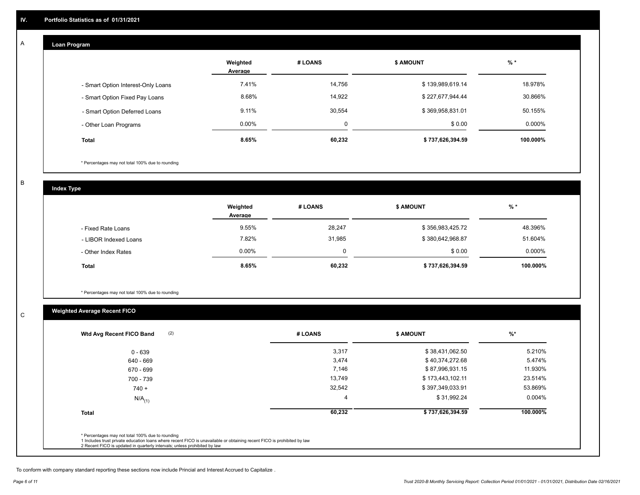## **Loan Program**

A

|                                    | Weighted<br>Average | # LOANS | <b>\$ AMOUNT</b> | $%$ *    |
|------------------------------------|---------------------|---------|------------------|----------|
| - Smart Option Interest-Only Loans | 7.41%               | 14,756  | \$139,989,619.14 | 18.978%  |
| - Smart Option Fixed Pay Loans     | 8.68%               | 14,922  | \$227,677,944.44 | 30.866%  |
| - Smart Option Deferred Loans      | 9.11%               | 30,554  | \$369,958,831.01 | 50.155%  |
| - Other Loan Programs              | $0.00\%$            | 0       | \$0.00           | 0.000%   |
| <b>Total</b>                       | 8.65%               | 60,232  | \$737,626,394.59 | 100.000% |

\* Percentages may not total 100% due to rounding

B

C

**Index Type**

|                       | Weighted<br>Average | # LOANS | <b>\$ AMOUNT</b> | $%$ *     |
|-----------------------|---------------------|---------|------------------|-----------|
| - Fixed Rate Loans    | 9.55%               | 28,247  | \$356,983,425.72 | 48.396%   |
| - LIBOR Indexed Loans | 7.82%               | 31,985  | \$380,642,968.87 | 51.604%   |
| - Other Index Rates   | $0.00\%$            |         | \$0.00           | $0.000\%$ |
| <b>Total</b>          | 8.65%               | 60,232  | \$737,626,394.59 | 100.000%  |

\* Percentages may not total 100% due to rounding

# **Weighted Average Recent FICO**

| 0 - 639<br>640 - 669 | 3,317<br>3,474 | \$38,431,062.50  | 5.210%   |
|----------------------|----------------|------------------|----------|
|                      |                |                  |          |
|                      |                | \$40,374,272.68  | 5.474%   |
| 670 - 699            | 7,146          | \$87,996,931.15  | 11.930%  |
| 700 - 739            | 13,749         | \$173,443,102.11 | 23.514%  |
| $740 +$              | 32,542         | \$397,349,033.91 | 53.869%  |
| $N/A$ <sub>(1)</sub> |                | \$31,992.24      | 0.004%   |
| <b>Total</b>         | 60,232         | \$737,626,394.59 | 100.000% |

To conform with company standard reporting these sections now include Princial and Interest Accrued to Capitalize .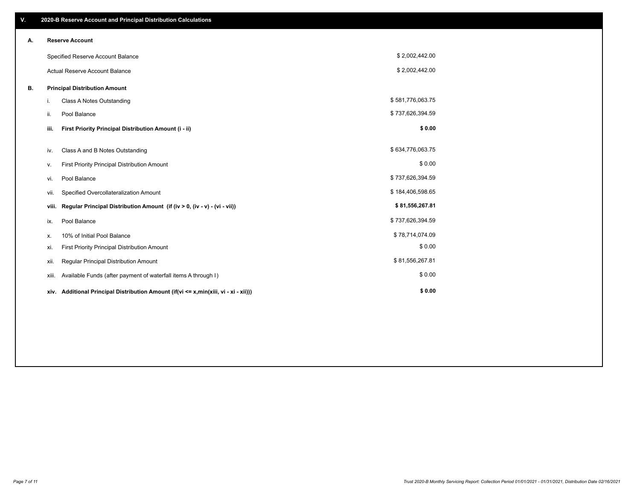| V. |       | 2020-B Reserve Account and Principal Distribution Calculations                       |                  |  |
|----|-------|--------------------------------------------------------------------------------------|------------------|--|
| А. |       | <b>Reserve Account</b>                                                               |                  |  |
|    |       | Specified Reserve Account Balance                                                    | \$2,002,442.00   |  |
|    |       | <b>Actual Reserve Account Balance</b>                                                | \$2,002,442.00   |  |
| В. |       | <b>Principal Distribution Amount</b>                                                 |                  |  |
|    | i.    | Class A Notes Outstanding                                                            | \$581,776,063.75 |  |
|    | ii.   | Pool Balance                                                                         | \$737,626,394.59 |  |
|    | iii.  | First Priority Principal Distribution Amount (i - ii)                                | \$0.00           |  |
|    | iv.   | Class A and B Notes Outstanding                                                      | \$634,776,063.75 |  |
|    | ν.    | First Priority Principal Distribution Amount                                         | \$0.00           |  |
|    | vi.   | Pool Balance                                                                         | \$737,626,394.59 |  |
|    | vii.  | Specified Overcollateralization Amount                                               | \$184,406,598.65 |  |
|    | viii. | Regular Principal Distribution Amount (if (iv > 0, (iv - v) - (vi - vii))            | \$81,556,267.81  |  |
|    | ix.   | Pool Balance                                                                         | \$737,626,394.59 |  |
|    | х.    | 10% of Initial Pool Balance                                                          | \$78,714,074.09  |  |
|    | xi.   | First Priority Principal Distribution Amount                                         | \$0.00           |  |
|    | xii.  | Regular Principal Distribution Amount                                                | \$81,556,267.81  |  |
|    | XIII. | Available Funds (after payment of waterfall items A through I)                       | \$0.00           |  |
|    |       | xiv. Additional Principal Distribution Amount (if(vi <= x,min(xiii, vi - xi - xii))) | \$0.00           |  |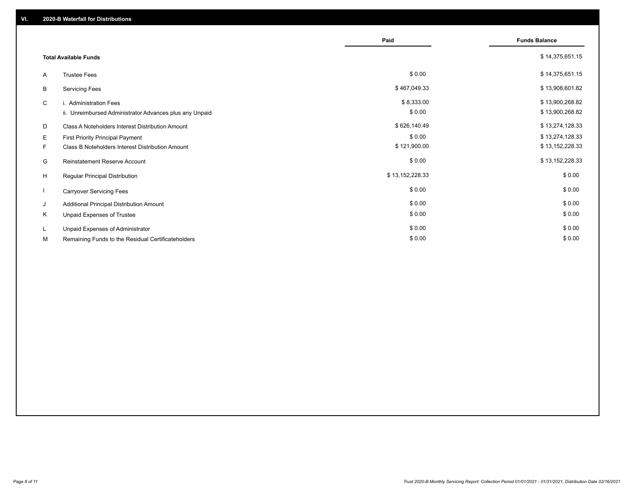|                              |                                                                                      | Paid                   | <b>Funds Balance</b>               |
|------------------------------|--------------------------------------------------------------------------------------|------------------------|------------------------------------|
| <b>Total Available Funds</b> |                                                                                      |                        | \$14,375,651.15                    |
| A                            | <b>Trustee Fees</b>                                                                  | \$0.00                 | \$14,375,651.15                    |
| B                            | <b>Servicing Fees</b>                                                                | \$467,049.33           | \$13,908,601.82                    |
| C                            | i. Administration Fees<br>ii. Unreimbursed Administrator Advances plus any Unpaid    | \$8,333.00<br>\$0.00   | \$13,900,268.82<br>\$13,900,268.82 |
| D                            | Class A Noteholders Interest Distribution Amount                                     | \$626,140.49           | \$13,274,128.33                    |
| E.<br>F.                     | First Priority Principal Payment<br>Class B Noteholders Interest Distribution Amount | \$0.00<br>\$121,900.00 | \$13,274,128.33<br>\$13,152,228.33 |
| G                            | <b>Reinstatement Reserve Account</b>                                                 | \$0.00                 | \$13,152,228.33                    |
| H                            | Regular Principal Distribution                                                       | \$13,152,228.33        | \$0.00                             |
|                              | <b>Carryover Servicing Fees</b>                                                      | \$0.00                 | \$0.00                             |
| J                            | Additional Principal Distribution Amount                                             | \$0.00                 | \$0.00                             |
| K                            | Unpaid Expenses of Trustee                                                           | \$0.00                 | \$0.00                             |
| L.                           | Unpaid Expenses of Administrator                                                     | \$0.00                 | \$0.00                             |
| М                            | Remaining Funds to the Residual Certificateholders                                   | \$0.00                 | \$0.00                             |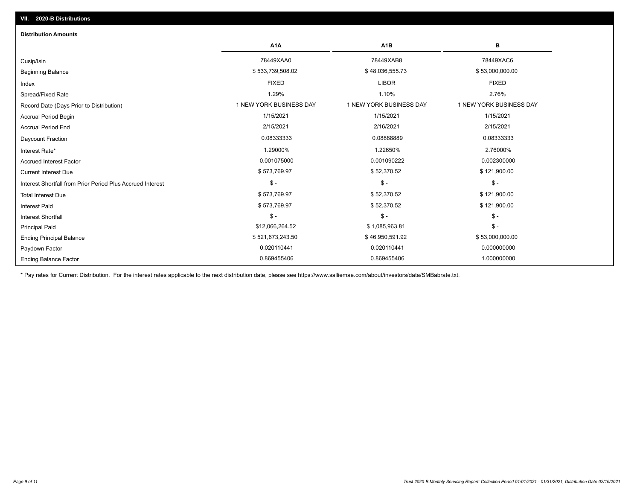| <b>Distribution Amounts</b>                                |                         |                         |                         |
|------------------------------------------------------------|-------------------------|-------------------------|-------------------------|
|                                                            | A <sub>1</sub> A        | A <sub>1</sub> B        | в                       |
| Cusip/Isin                                                 | 78449XAA0               | 78449XAB8               | 78449XAC6               |
| <b>Beginning Balance</b>                                   | \$533,739,508.02        | \$48,036,555.73         | \$53,000,000.00         |
| Index                                                      | <b>FIXED</b>            | <b>LIBOR</b>            | <b>FIXED</b>            |
| Spread/Fixed Rate                                          | 1.29%                   | 1.10%                   | 2.76%                   |
| Record Date (Days Prior to Distribution)                   | 1 NEW YORK BUSINESS DAY | 1 NEW YORK BUSINESS DAY | 1 NEW YORK BUSINESS DAY |
| <b>Accrual Period Begin</b>                                | 1/15/2021               | 1/15/2021               | 1/15/2021               |
| <b>Accrual Period End</b>                                  | 2/15/2021               | 2/16/2021               | 2/15/2021               |
| Daycount Fraction                                          | 0.08333333              | 0.08888889              | 0.08333333              |
| Interest Rate*                                             | 1.29000%                | 1.22650%                | 2.76000%                |
| <b>Accrued Interest Factor</b>                             | 0.001075000             | 0.001090222             | 0.002300000             |
| <b>Current Interest Due</b>                                | \$573,769.97            | \$52,370.52             | \$121,900.00            |
| Interest Shortfall from Prior Period Plus Accrued Interest | $\mathcal{S}$ -         | $\frac{1}{2}$           | $\mathbb{S}$ -          |
| <b>Total Interest Due</b>                                  | \$573,769.97            | \$52,370.52             | \$121,900.00            |
| <b>Interest Paid</b>                                       | \$573,769.97            | \$52,370.52             | \$121,900.00            |
| <b>Interest Shortfall</b>                                  | $\mathsf{\$}$ -         | $$ -$                   | $\mathsf{\$}$ -         |
| <b>Principal Paid</b>                                      | \$12,066,264.52         | \$1,085,963.81          | $\mathsf{\$}$ -         |
| <b>Ending Principal Balance</b>                            | \$521,673,243.50        | \$46,950,591.92         | \$53,000,000.00         |
| Paydown Factor                                             | 0.020110441             | 0.020110441             | 0.000000000             |
| <b>Ending Balance Factor</b>                               | 0.869455406             | 0.869455406             | 1.000000000             |

\* Pay rates for Current Distribution. For the interest rates applicable to the next distribution date, please see https://www.salliemae.com/about/investors/data/SMBabrate.txt.

**VII. 2020-B Distributions**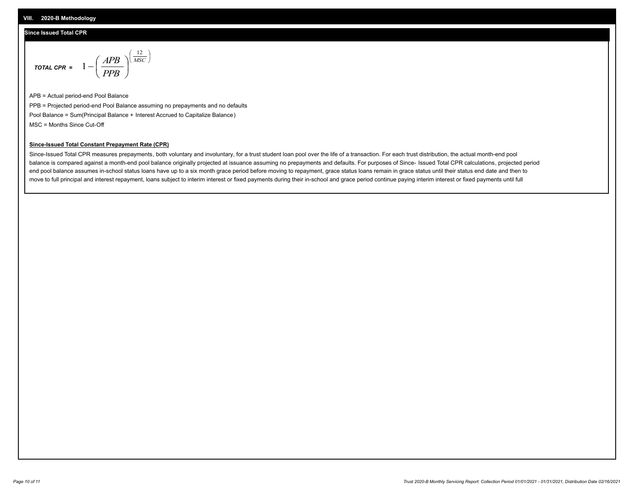#### **Since Issued Total CPR**

$$
\text{total CPR} = 1 - \left(\frac{APB}{PPB}\right)^{\left(\frac{12}{MSC}\right)}
$$

APB = Actual period-end Pool Balance PPB = Projected period-end Pool Balance assuming no prepayments and no defaults Pool Balance = Sum(Principal Balance + Interest Accrued to Capitalize Balance) MSC = Months Since Cut-Off

 $\mathsf{I}$ J λ

#### **Since-Issued Total Constant Prepayment Rate (CPR)**

Since-Issued Total CPR measures prepayments, both voluntary and involuntary, for a trust student loan pool over the life of a transaction. For each trust distribution, the actual month-end pool balance is compared against a month-end pool balance originally projected at issuance assuming no prepayments and defaults. For purposes of Since- Issued Total CPR calculations, projected period end pool balance assumes in-school status loans have up to a six month grace period before moving to repayment, grace status loans remain in grace status until their status end date and then to move to full principal and interest repayment, loans subject to interim interest or fixed payments during their in-school and grace period continue paying interim interest or fixed payments until full